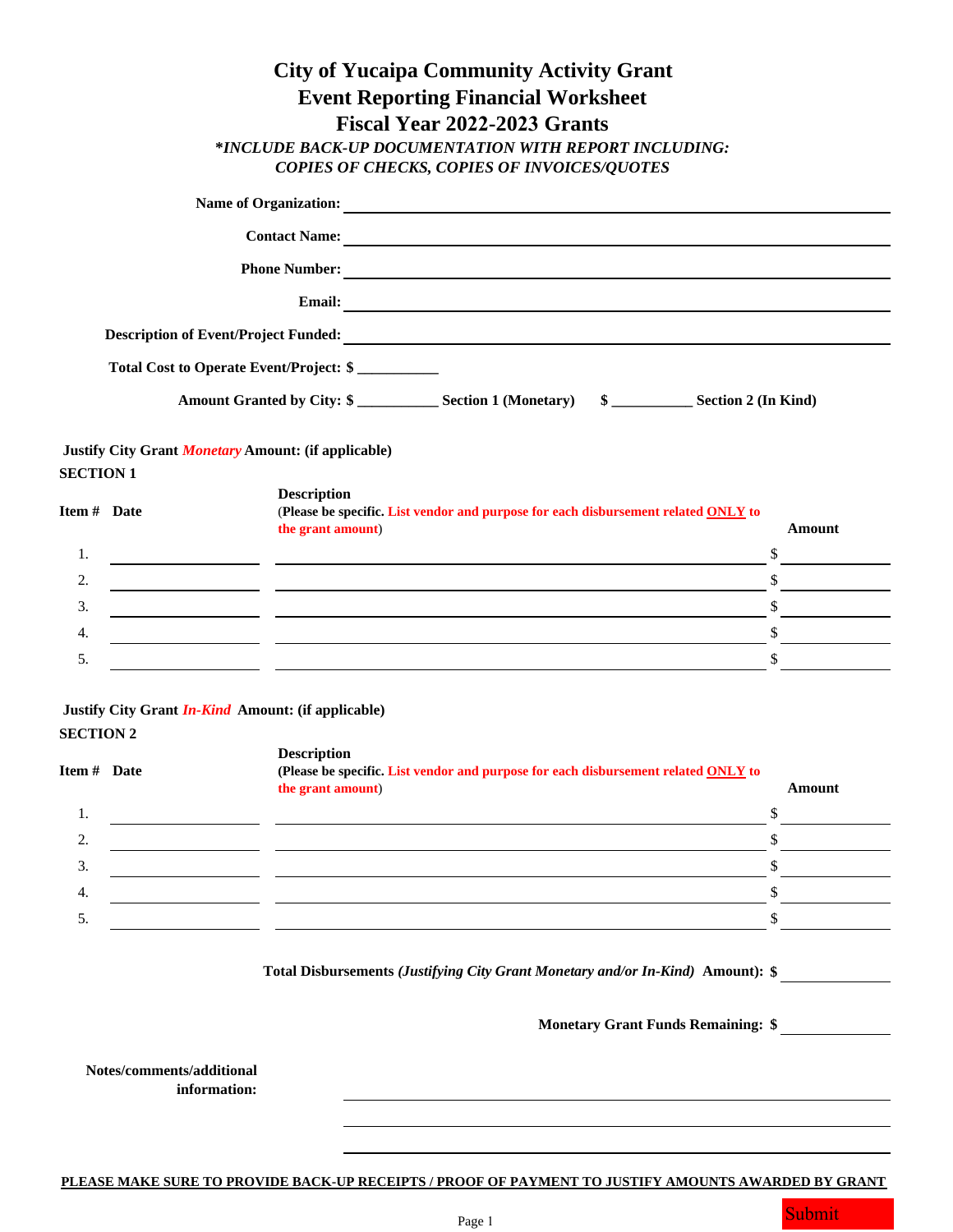|                  |                                                           |                                         | <b>City of Yucaipa Community Activity Grant</b>                                                                                                                                                                                      |                                                                                                                                                                                                                                                                                                                                                                                                                                 |
|------------------|-----------------------------------------------------------|-----------------------------------------|--------------------------------------------------------------------------------------------------------------------------------------------------------------------------------------------------------------------------------------|---------------------------------------------------------------------------------------------------------------------------------------------------------------------------------------------------------------------------------------------------------------------------------------------------------------------------------------------------------------------------------------------------------------------------------|
|                  |                                                           |                                         | <b>Event Reporting Financial Worksheet</b>                                                                                                                                                                                           |                                                                                                                                                                                                                                                                                                                                                                                                                                 |
|                  |                                                           |                                         | Fiscal Year 2022-2023 Grants                                                                                                                                                                                                         |                                                                                                                                                                                                                                                                                                                                                                                                                                 |
|                  |                                                           |                                         | *INCLUDE BACK-UP DOCUMENTATION WITH REPORT INCLUDING:                                                                                                                                                                                |                                                                                                                                                                                                                                                                                                                                                                                                                                 |
|                  |                                                           |                                         | <b>COPIES OF CHECKS, COPIES OF INVOICES/QUOTES</b>                                                                                                                                                                                   |                                                                                                                                                                                                                                                                                                                                                                                                                                 |
|                  |                                                           |                                         | Name of Organization:                                                                                                                                                                                                                |                                                                                                                                                                                                                                                                                                                                                                                                                                 |
|                  |                                                           |                                         |                                                                                                                                                                                                                                      |                                                                                                                                                                                                                                                                                                                                                                                                                                 |
|                  |                                                           |                                         |                                                                                                                                                                                                                                      |                                                                                                                                                                                                                                                                                                                                                                                                                                 |
|                  |                                                           |                                         | Email: <u>Department of the contract of the contract of the contract of the contract of the contract of the contract of the contract of the contract of the contract of the contract of the contract of the contract of the cont</u> |                                                                                                                                                                                                                                                                                                                                                                                                                                 |
|                  |                                                           |                                         | Description of Event/Project Funded:                                                                                                                                                                                                 |                                                                                                                                                                                                                                                                                                                                                                                                                                 |
|                  |                                                           | Total Cost to Operate Event/Project: \$ |                                                                                                                                                                                                                                      |                                                                                                                                                                                                                                                                                                                                                                                                                                 |
|                  |                                                           |                                         |                                                                                                                                                                                                                                      |                                                                                                                                                                                                                                                                                                                                                                                                                                 |
|                  |                                                           |                                         |                                                                                                                                                                                                                                      |                                                                                                                                                                                                                                                                                                                                                                                                                                 |
|                  | Justify City Grant Monetary Amount: (if applicable)       |                                         |                                                                                                                                                                                                                                      |                                                                                                                                                                                                                                                                                                                                                                                                                                 |
| <b>SECTION 1</b> |                                                           |                                         |                                                                                                                                                                                                                                      |                                                                                                                                                                                                                                                                                                                                                                                                                                 |
|                  |                                                           | <b>Description</b>                      |                                                                                                                                                                                                                                      |                                                                                                                                                                                                                                                                                                                                                                                                                                 |
| Item # Date      |                                                           | the grant amount)                       | (Please be specific. List vendor and purpose for each disbursement related ONLY to                                                                                                                                                   | Amount                                                                                                                                                                                                                                                                                                                                                                                                                          |
| 1.               |                                                           |                                         | <u> 1980 - Johann John Stone, markin fizikar (h. 1980).</u>                                                                                                                                                                          | \$                                                                                                                                                                                                                                                                                                                                                                                                                              |
| 2.               |                                                           |                                         |                                                                                                                                                                                                                                      | $\mathbb{S}$<br><u> a shekara ta 1999</u>                                                                                                                                                                                                                                                                                                                                                                                       |
| 3.               |                                                           |                                         | <u> 1989 - Johann John Stone, markin film yn y brening yn y brening yn y brening y brening yn y brening y brenin</u>                                                                                                                 | $\int$                                                                                                                                                                                                                                                                                                                                                                                                                          |
| 4.               |                                                           |                                         |                                                                                                                                                                                                                                      | $\frac{1}{\sqrt{1-\frac{1}{2}}}\frac{1}{\sqrt{1-\frac{1}{2}}}\frac{1}{\sqrt{1-\frac{1}{2}}}\frac{1}{\sqrt{1-\frac{1}{2}}}\frac{1}{\sqrt{1-\frac{1}{2}}}\frac{1}{\sqrt{1-\frac{1}{2}}}\frac{1}{\sqrt{1-\frac{1}{2}}}\frac{1}{\sqrt{1-\frac{1}{2}}}\frac{1}{\sqrt{1-\frac{1}{2}}}\frac{1}{\sqrt{1-\frac{1}{2}}}\frac{1}{\sqrt{1-\frac{1}{2}}}\frac{1}{\sqrt{1-\frac{1}{2}}}\frac{1}{\sqrt{1-\frac{1}{2}}}\frac{1}{\sqrt{1-\frac{$ |
| 5.               |                                                           |                                         |                                                                                                                                                                                                                                      | $\frac{\sqrt{2}}{2}$                                                                                                                                                                                                                                                                                                                                                                                                            |
|                  |                                                           |                                         |                                                                                                                                                                                                                                      |                                                                                                                                                                                                                                                                                                                                                                                                                                 |
|                  | Justify City Grant <i>In-Kind</i> Amount: (if applicable) |                                         |                                                                                                                                                                                                                                      |                                                                                                                                                                                                                                                                                                                                                                                                                                 |
| <b>SECTION 2</b> |                                                           |                                         |                                                                                                                                                                                                                                      |                                                                                                                                                                                                                                                                                                                                                                                                                                 |
| Item # Date      |                                                           | <b>Description</b>                      | (Please be specific. List vendor and purpose for each disbursement related ONLY to                                                                                                                                                   |                                                                                                                                                                                                                                                                                                                                                                                                                                 |
|                  |                                                           | the grant amount)                       |                                                                                                                                                                                                                                      | <b>Amount</b>                                                                                                                                                                                                                                                                                                                                                                                                                   |
| 1.               |                                                           |                                         | <u> 1989 - Johann Barbara, martin amerikan basal dan berasal dan berasal dalam basal dalam basal dalam basal dala</u>                                                                                                                | \$                                                                                                                                                                                                                                                                                                                                                                                                                              |
| 2.               |                                                           |                                         | <u> 1989 - Johann Stoff, amerikansk politiker (d. 1989)</u>                                                                                                                                                                          | \$                                                                                                                                                                                                                                                                                                                                                                                                                              |
| 3.               |                                                           |                                         |                                                                                                                                                                                                                                      | \$                                                                                                                                                                                                                                                                                                                                                                                                                              |
| 4.               |                                                           |                                         |                                                                                                                                                                                                                                      | \$                                                                                                                                                                                                                                                                                                                                                                                                                              |
| 5.               |                                                           |                                         |                                                                                                                                                                                                                                      | \$                                                                                                                                                                                                                                                                                                                                                                                                                              |
|                  |                                                           |                                         |                                                                                                                                                                                                                                      |                                                                                                                                                                                                                                                                                                                                                                                                                                 |
|                  |                                                           |                                         | Total Disbursements (Justifying City Grant Monetary and/or In-Kind) Amount): \$                                                                                                                                                      |                                                                                                                                                                                                                                                                                                                                                                                                                                 |
|                  |                                                           |                                         |                                                                                                                                                                                                                                      |                                                                                                                                                                                                                                                                                                                                                                                                                                 |
|                  |                                                           |                                         | <b>Monetary Grant Funds Remaining: \$</b>                                                                                                                                                                                            |                                                                                                                                                                                                                                                                                                                                                                                                                                 |
|                  | Notes/comments/additional                                 |                                         |                                                                                                                                                                                                                                      |                                                                                                                                                                                                                                                                                                                                                                                                                                 |
|                  | information:                                              |                                         |                                                                                                                                                                                                                                      |                                                                                                                                                                                                                                                                                                                                                                                                                                 |
|                  |                                                           |                                         |                                                                                                                                                                                                                                      |                                                                                                                                                                                                                                                                                                                                                                                                                                 |
|                  |                                                           |                                         |                                                                                                                                                                                                                                      |                                                                                                                                                                                                                                                                                                                                                                                                                                 |
|                  |                                                           |                                         |                                                                                                                                                                                                                                      |                                                                                                                                                                                                                                                                                                                                                                                                                                 |

**PLEASE MAKE SURE TO PROVIDE BACK-UP RECEIPTS / PROOF OF PAYMENT TO JUSTIFY AMOUNTS AWARDED BY GRANT**